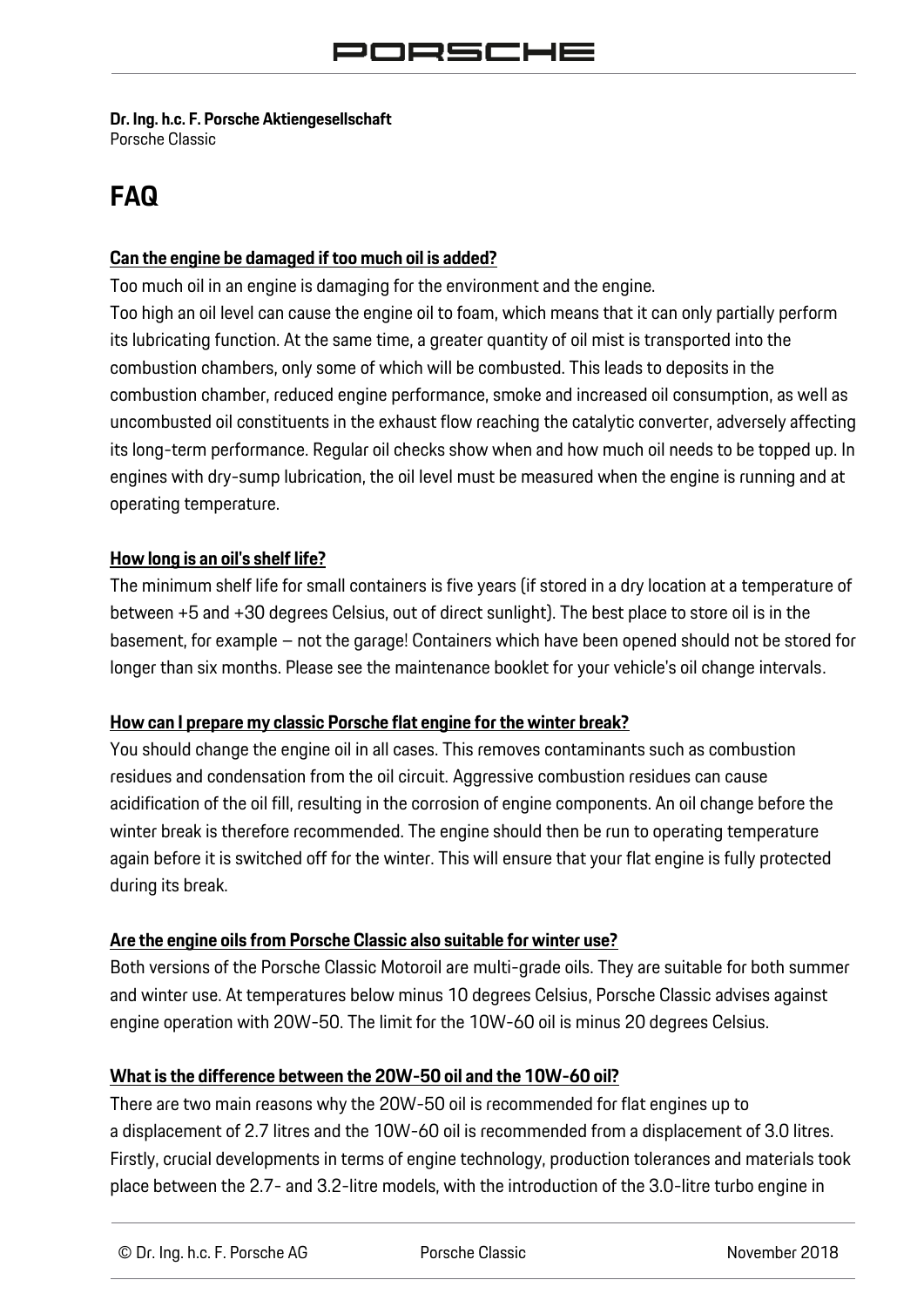### **Dr. Ing. h.c. F. Porsche Aktiengesellschaft**

Porsche Classic

# **FAQ**

#### **Can the engine be damaged if too much oil is added?**

Too much oil in an engine is damaging for the environment and the engine. Too high an oil level can cause the engine oil to foam, which means that it can only partially perform its lubricating function. At the same time, a greater quantity of oil mist is transported into the combustion chambers, only some of which will be combusted. This leads to deposits in the combustion chamber, reduced engine performance, smoke and increased oil consumption, as well as uncombusted oil constituents in the exhaust flow reaching the catalytic converter, adversely affecting its long-term performance. Regular oil checks show when and how much oil needs to be topped up. In engines with dry-sump lubrication, the oil level must be measured when the engine is running and at operating temperature.

#### **How long is an oil's shelf life?**

The minimum shelf life for small containers is five years (if stored in a dry location at a temperature of between +5 and +30 degrees Celsius, out of direct sunlight). The best place to store oil is in the basement, for example – not the garage! Containers which have been opened should not be stored for longer than six months. Please see the maintenance booklet for your vehicle's oil change intervals.

#### **How can I prepare my classic Porsche flat engine for the winter break?**

You should change the engine oil in all cases. This removes contaminants such as combustion residues and condensation from the oil circuit. Aggressive combustion residues can cause acidification of the oil fill, resulting in the corrosion of engine components. An oil change before the winter break is therefore recommended. The engine should then be run to operating temperature again before it is switched off for the winter. This will ensure that your flat engine is fully protected during its break.

#### **Are the engine oils from Porsche Classic also suitable for winter use?**

Both versions of the Porsche Classic Motoroil are multi-grade oils. They are suitable for both summer and winter use. At temperatures below minus 10 degrees Celsius, Porsche Classic advises against engine operation with 20W-50. The limit for the 10W-60 oil is minus 20 degrees Celsius.

#### **What is the difference between the 20W-50 oil and the 10W-60 oil?**

There are two main reasons why the 20W-50 oil is recommended for flat engines up to a displacement of 2.7 litres and the 10W-60 oil is recommended from a displacement of 3.0 litres. Firstly, crucial developments in terms of engine technology, production tolerances and materials took place between the 2.7- and 3.2-litre models, with the introduction of the 3.0-litre turbo engine in